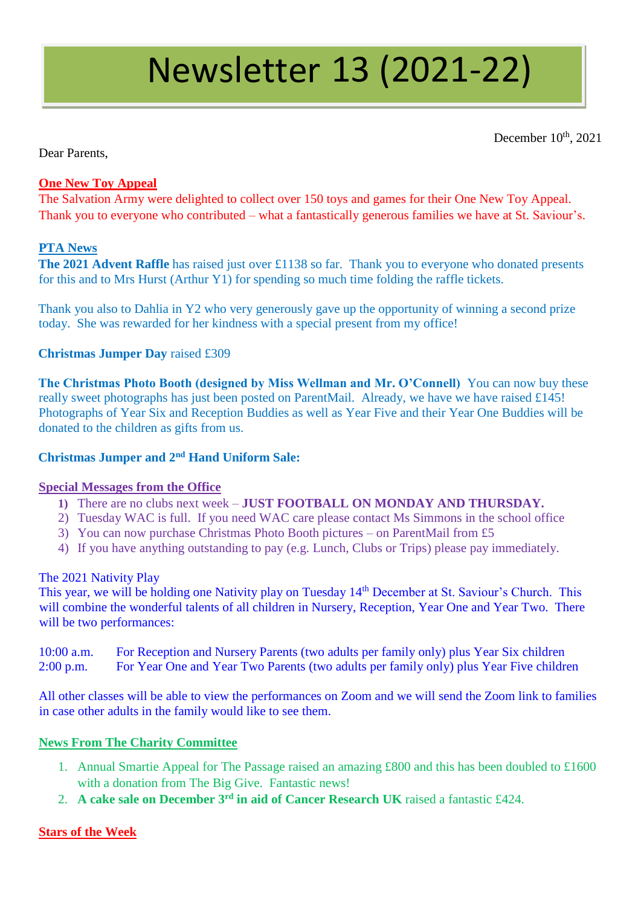# Newsletter 13 (2021-22)

December 10<sup>th</sup>, 2021

Dear Parents,

## **One New Toy Appeal**

The Salvation Army were delighted to collect over 150 toys and games for their One New Toy Appeal. Thank you to everyone who contributed – what a fantastically generous families we have at St. Saviour's.

## **PTA News**

**The 2021 Advent Raffle** has raised just over £1138 so far. Thank you to everyone who donated presents for this and to Mrs Hurst (Arthur Y1) for spending so much time folding the raffle tickets.

Thank you also to Dahlia in Y2 who very generously gave up the opportunity of winning a second prize today. She was rewarded for her kindness with a special present from my office!

### **Christmas Jumper Day** raised £309

**The Christmas Photo Booth (designed by Miss Wellman and Mr. O'Connell)** You can now buy these really sweet photographs has just been posted on ParentMail. Already, we have we have raised £145! Photographs of Year Six and Reception Buddies as well as Year Five and their Year One Buddies will be donated to the children as gifts from us.

### **Christmas Jumper and 2nd Hand Uniform Sale:**

### **Special Messages from the Office**

- **1)** There are no clubs next week **JUST FOOTBALL ON MONDAY AND THURSDAY.**
- 2) Tuesday WAC is full. If you need WAC care please contact Ms Simmons in the school office
- 3) You can now purchase Christmas Photo Booth pictures on ParentMail from £5
- 4) If you have anything outstanding to pay (e.g. Lunch, Clubs or Trips) please pay immediately.

### The 2021 Nativity Play

This year, we will be holding one Nativity play on Tuesday 14<sup>th</sup> December at St. Saviour's Church. This will combine the wonderful talents of all children in Nursery, Reception, Year One and Year Two. There will be two performances:

10:00 a.m. For Reception and Nursery Parents (two adults per family only) plus Year Six children 2:00 p.m. For Year One and Year Two Parents (two adults per family only) plus Year Five children

All other classes will be able to view the performances on Zoom and we will send the Zoom link to families in case other adults in the family would like to see them.

### **News From The Charity Committee**

- 1. Annual Smartie Appeal for The Passage raised an amazing £800 and this has been doubled to £1600 with a donation from The Big Give. Fantastic news!
- 2. **A cake sale on December 3rd in aid of Cancer Research UK** raised a fantastic £424.

## **Stars of the Week**